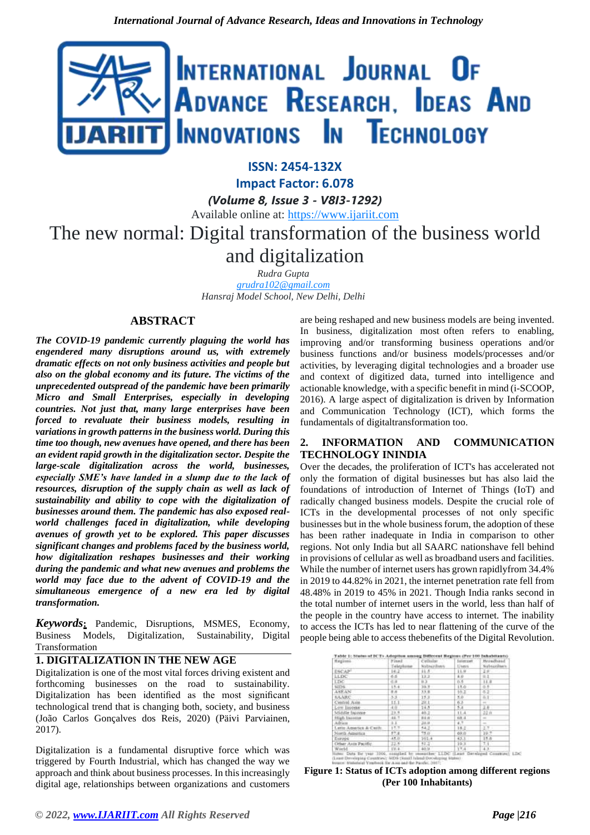

# **ISSN: 2454-132X**

**Impact Factor: 6.078**

*(Volume 8, Issue 3 - V8I3-1292)*

Available online at: [https://www.ijariit.com](https://www.ijariit.com/?utm_source=pdf&utm_medium=edition&utm_campaign=OmAkSols&utm_term=V8I3-1292)

# The new normal: Digital transformation of the business world and digitalization

*Rudra Gupta [grudra102@gmail.com](mailto:grudra102@gmail.com) Hansraj Model School, New Delhi, Delhi*

# **ABSTRACT**

*The COVID-19 pandemic currently plaguing the world has engendered many disruptions around us, with extremely dramatic effects on not only business activities and people but also on the global economy and its future. The victims of the unprecedented outspread of the pandemic have been primarily Micro and Small Enterprises, especially in developing countries. Not just that, many large enterprises have been forced to revaluate their business models, resulting in variations in growth patterns in the business world. During this time too though, new avenues have opened, and there has been an evident rapid growth in the digitalization sector. Despite the large-scale digitalization across the world, businesses, especially SME's have landed in a slump due to the lack of resources, disruption of the supply chain as well as lack of sustainability and ability to cope with the digitalization of businesses around them. The pandemic has also exposed realworld challenges faced in digitalization, while developing avenues of growth yet to be explored. This paper discusses significant changes and problems faced by the business world, how digitalization reshapes businesses and their working during the pandemic and what new avenues and problems the world may face due to the advent of COVID-19 and the simultaneous emergence of a new era led by digital transformation.*

*Keywords***:** Pandemic, Disruptions, MSMES, Economy, Business Models, Digitalization, Sustainability, Digital Transformation

# **1. DIGITALIZATION IN THE NEW AGE**

Digitalization is one of the most vital forces driving existent and forthcoming businesses on the road to sustainability. Digitalization has been identified as the most significant technological trend that is changing both, society, and business (João Carlos Gonçalves dos Reis, 2020) (Päivi Parviainen, 2017).

Digitalization is a fundamental disruptive force which was triggered by Fourth Industrial, which has changed the way we approach and think about business processes. In this increasingly digital age, relationships between organizations and customers

are being reshaped and new business models are being invented. In business, digitalization most often refers to enabling, improving and/or transforming business operations and/or business functions and/or business models/processes and/or activities, by leveraging digital technologies and a broader use and context of digitized data, turned into intelligence and actionable knowledge, with a specific benefit in mind (i-SCOOP, 2016). A large aspect of digitalization is driven by Information and Communication Technology (ICT), which forms the fundamentals of digitaltransformation too.

## **2. INFORMATION AND COMMUNICATION TECHNOLOGY ININDIA**

Over the decades, the proliferation of ICT's has accelerated not only the formation of digital businesses but has also laid the foundations of introduction of Internet of Things (IoT) and radically changed business models. Despite the crucial role of ICTs in the developmental processes of not only specific businesses but in the whole business forum, the adoption of these has been rather inadequate in India in comparison to other regions. Not only India but all SAARC nationshave fell behind in provisions of cellular as well as broadband users and facilities. While the number of internet users has grown rapidlyfrom 34.4% in 2019 to 44.82% in 2021, the internet penetration rate fell from 48.48% in 2019 to 45% in 2021. Though India ranks second in the total number of internet users in the world, less than half of the people in the country have access to internet. The inability to access the ICTs has led to near flattening of the curve of the people being able to access thebenefits of the Digital Revolution.

| Regions.                | Finanz<br>Telepha | Cellular.<br><b>Nativerdiens</b> | Internet:<br><b>L'unis</b> | Britadhaud<br>Subscribers |
|-------------------------|-------------------|----------------------------------|----------------------------|---------------------------|
|                         |                   |                                  |                            |                           |
| LLDC                    | 65                | $13.2 -$                         | 4.0                        | $0.1 -$                   |
| <b>LISC</b>             | 4.3               | ĸУ                               | 0.5                        | 11.8                      |
| <b>RIDS</b>             | 19.41             | 30.9                             | 1.9.01                     | $-5.5$                    |
| <b>ASEAN</b>            | 有序                | 33.8                             | $10.2 -$                   | 6.2                       |
| <b>KAARC</b>            | $3 - 3$           | 15.3                             | 5.0                        | 高1.                       |
| Central Asia.           | 11.1              | 誤注.                              | 魅                          | april 1.1                 |
| Low lisense             | $rac{4.0}{23.5}$  | 14.51                            | 5.4                        | 34                        |
| Middle Injoner          |                   | 40.2                             | 11A                        | 22.0                      |
| High baseries           | 46.7              | 88.81                            | 68.8                       |                           |
| Africa:                 | 1.1               | THE AR .                         | 4.7                        | $\sim$                    |
| Latin America & Carife. | 17.7-             | 54.2                             | 18.2                       | 2.7 :                     |
| North America           | 57.8.1            | $75.0^{\circ}$                   | 69.01                      | 39.7                      |
| Estupe                  | 35.01             | 101.4                            | 43.1                       | 35.8                      |
| Ofter Asts Pacific.     | 22.5%             | 92.27                            | $19.3 -$                   | 力扩                        |
| Wedd                    | 19.4              | 40.31                            | $17.4 -$                   | 33.                       |

**Figure 1: Status of ICTs adoption among different regions (Per 100 Inhabitants)**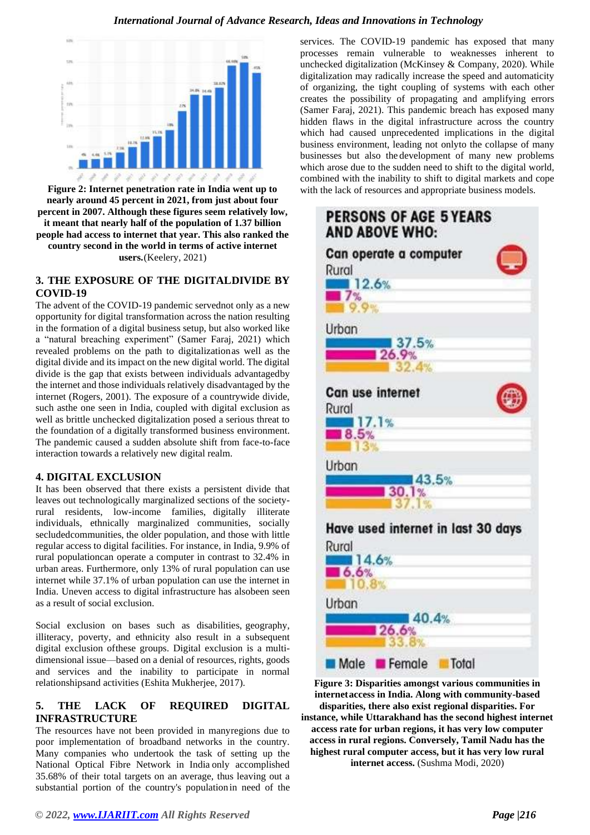

**Figure 2: Internet penetration rate in India went up to nearly around 45 percent in 2021, from just about four percent in 2007. Although these figures seem relatively low, it meant that nearly half of the population of 1.37 billion people had access to internet that year. This also ranked the country second in the world in terms of active internet users.**(Keelery, 2021)

# **3. THE EXPOSURE OF THE DIGITALDIVIDE BY COVID-19**

The advent of the COVID-19 pandemic servednot only as a new opportunity for digital transformation across the nation resulting in the formation of a digital business setup, but also worked like a "natural breaching experiment" (Samer Faraj, 2021) which revealed problems on the path to digitalizationas well as the digital divide and its impact on the new digital world. The digital divide is the gap that exists between individuals advantagedby the internet and those individuals relatively disadvantaged by the internet (Rogers, 2001). The exposure of a countrywide divide, such asthe one seen in India, coupled with digital exclusion as well as brittle unchecked digitalization posed a serious threat to the foundation of a digitally transformed business environment. The pandemic caused a sudden absolute shift from face-to-face interaction towards a relatively new digital realm.

## **4. DIGITAL EXCLUSION**

It has been observed that there exists a persistent divide that leaves out technologically marginalized sections of the societyrural residents, low-income families, digitally illiterate individuals, ethnically marginalized communities, socially secludedcommunities, the older population, and those with little regular access to digital facilities. For instance, in India, 9.9% of rural populationcan operate a computer in contrast to 32.4% in urban areas. Furthermore, only 13% of rural population can use internet while 37.1% of urban population can use the internet in India. Uneven access to digital infrastructure has alsobeen seen as a result of social exclusion.

Social exclusion on bases such as disabilities, geography, illiteracy, poverty, and ethnicity also result in a subsequent digital exclusion ofthese groups. Digital exclusion is a multidimensional issue—based on a denial of resources, rights, goods and services and the inability to participate in normal relationshipsand activities (Eshita Mukherjee, 2017).

# **5. THE LACK OF REQUIRED DIGITAL INFRASTRUCTURE**

The resources have not been provided in manyregions due to poor implementation of broadband networks in the country. Many companies who undertook the task of setting up the National Optical Fibre Network in India only accomplished 35.68% of their total targets on an average, thus leaving out a substantial portion of the country's populationin need of the

services. The COVID-19 pandemic has exposed that many processes remain vulnerable to weaknesses inherent to unchecked digitalization (McKinsey & Company, 2020). While digitalization may radically increase the speed and automaticity of organizing, the tight coupling of systems with each other creates the possibility of propagating and amplifying errors (Samer Faraj, 2021). This pandemic breach has exposed many hidden flaws in the digital infrastructure across the country which had caused unprecedented implications in the digital business environment, leading not onlyto the collapse of many businesses but also the development of many new problems which arose due to the sudden need to shift to the digital world, combined with the inability to shift to digital markets and cope with the lack of resources and appropriate business models.



**Figure 3: Disparities amongst various communities in internetaccess in India. Along with community-based disparities, there also exist regional disparities. For instance, while Uttarakhand has the second highest internet access rate for urban regions, it has very low computer access in rural regions. Conversely, Tamil Nadu has the highest rural computer access, but it has very low rural internet access.** (Sushma Modi, 2020)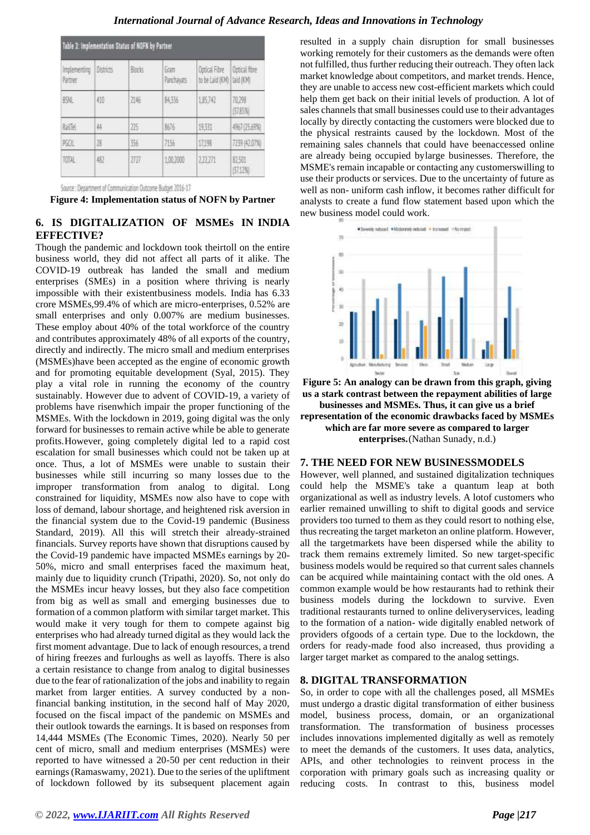| Table 3: Implementation Status of NOFN by Partner |                  |        |                    |                                             |               |  |  |
|---------------------------------------------------|------------------|--------|--------------------|---------------------------------------------|---------------|--|--|
| Implementing<br>Partner-                          | <b>Districts</b> | Blocks | Gram<br>Panchavats | Outlical Fibre<br>to be Laid (KM) Laid (KM) | Optical fibre |  |  |
| BSNL                                              | 4度               | 2146   | 斜張                 | 185742                                      | 孤独<br>57.85%  |  |  |
| 脑面                                                | 44               | 225    | 3676               | 931                                         | 4957 (25.69%) |  |  |
| 陈庄                                                | 78               | 356    | 7156               | 17,198                                      | 7239 (42.07%) |  |  |
| TOTAL                                             | 482              | 2727   | 1,00,2000          | 121271                                      | 脱弱<br>見12%    |  |  |

Source : Department of Communication Outcome Budget 2016-17

**Figure 4: Implementation status of NOFN by Partner**

# **6. IS DIGITALIZATION OF MSMEs IN INDIA EFFECTIVE?**

Though the pandemic and lockdown took theirtoll on the entire business world, they did not affect all parts of it alike. The COVID-19 outbreak has landed the small and medium enterprises (SMEs) in a position where thriving is nearly impossible with their existentbusiness models. India has 6.33 crore MSMEs,99.4% of which are micro-enterprises, 0.52% are small enterprises and only 0.007% are medium businesses. These employ about 40% of the total workforce of the country and contributes approximately 48% of all exports of the country, directly and indirectly. The micro small and medium enterprises (MSMEs)have been accepted as the engine of economic growth and for promoting equitable development (Syal, 2015). They play a vital role in running the economy of the country sustainably. However due to advent of COVID-19, a variety of problems have risenwhich impair the proper functioning of the MSMEs. With the lockdown in 2019, going digital was the only forward for businesses to remain active while be able to generate profits.However, going completely digital led to a rapid cost escalation for small businesses which could not be taken up at once. Thus, a lot of MSMEs were unable to sustain their businesses while still incurring so many losses due to the improper transformation from analog to digital. Long constrained for liquidity, MSMEs now also have to cope with loss of demand, labour shortage, and heightened risk aversion in the financial system due to the Covid-19 pandemic (Business Standard, 2019). All this will stretch their already-strained financials. Survey reports have shown that disruptions caused by the Covid-19 pandemic have impacted MSMEs earnings by 20- 50%, micro and small enterprises faced the maximum heat, mainly due to liquidity crunch (Tripathi, 2020). So, not only do the MSMEs incur heavy losses, but they also face competition from big as well as small and emerging businesses due to formation of a common platform with similar target market. This would make it very tough for them to compete against big enterprises who had already turned digital as they would lack the first moment advantage. Due to lack of enough resources, a trend of hiring freezes and furloughs as well as layoffs. There is also a certain resistance to change from analog to digital businesses due to the fear of rationalization of the jobs and inability to regain market from larger entities. A survey conducted by a nonfinancial banking institution, in the second half of May 2020, focused on the fiscal impact of the pandemic on MSMEs and their outlook towards the earnings. It is based on responses from 14,444 MSMEs (The Economic Times, 2020). Nearly 50 per cent of micro, small and medium enterprises (MSMEs) were reported to have witnessed a 20-50 per cent reduction in their earnings (Ramaswamy, 2021). Due to the series of the upliftment of lockdown followed by its subsequent placement again resulted in a supply chain disruption for small businesses working remotely for their customers as the demands were often not fulfilled, thus further reducing their outreach. They often lack market knowledge about competitors, and market trends. Hence, they are unable to access new cost-efficient markets which could help them get back on their initial levels of production. A lot of sales channels that small businesses could use to their advantages locally by directly contacting the customers were blocked due to the physical restraints caused by the lockdown. Most of the remaining sales channels that could have beenaccessed online are already being occupied bylarge businesses. Therefore, the MSME's remain incapable or contacting any customerswilling to use their products or services. Due to the uncertainty of future as well as non- uniform cash inflow, it becomes rather difficult for analysts to create a fund flow statement based upon which the new business model could work.



**Figure 5: An analogy can be drawn from this graph, giving us a stark contrast between the repayment abilities of large**

**businesses and MSMEs. Thus, it can give us a brief representation of the economic drawbacks faced by MSMEs which are far more severe as compared to larger enterprises.**(Nathan Sunady, n.d.)

#### **7. THE NEED FOR NEW BUSINESSMODELS**

However, well planned, and sustained digitalization techniques could help the MSME's take a quantum leap at both organizational as well as industry levels. A lotof customers who earlier remained unwilling to shift to digital goods and service providers too turned to them as they could resort to nothing else, thus recreating the target marketon an online platform. However, all the targetmarkets have been dispersed while the ability to track them remains extremely limited. So new target-specific business models would be required so that current sales channels can be acquired while maintaining contact with the old ones. A common example would be how restaurants had to rethink their business models during the lockdown to survive. Even traditional restaurants turned to online deliveryservices, leading to the formation of a nation- wide digitally enabled network of providers ofgoods of a certain type. Due to the lockdown, the orders for ready-made food also increased, thus providing a larger target market as compared to the analog settings.

#### **8. DIGITAL TRANSFORMATION**

So, in order to cope with all the challenges posed, all MSMEs must undergo a drastic digital transformation of either business model, business process, domain, or an organizational transformation. The transformation of business processes includes innovations implemented digitally as well as remotely to meet the demands of the customers. It uses data, analytics, APIs, and other technologies to reinvent process in the corporation with primary goals such as increasing quality or reducing costs. In contrast to this, business model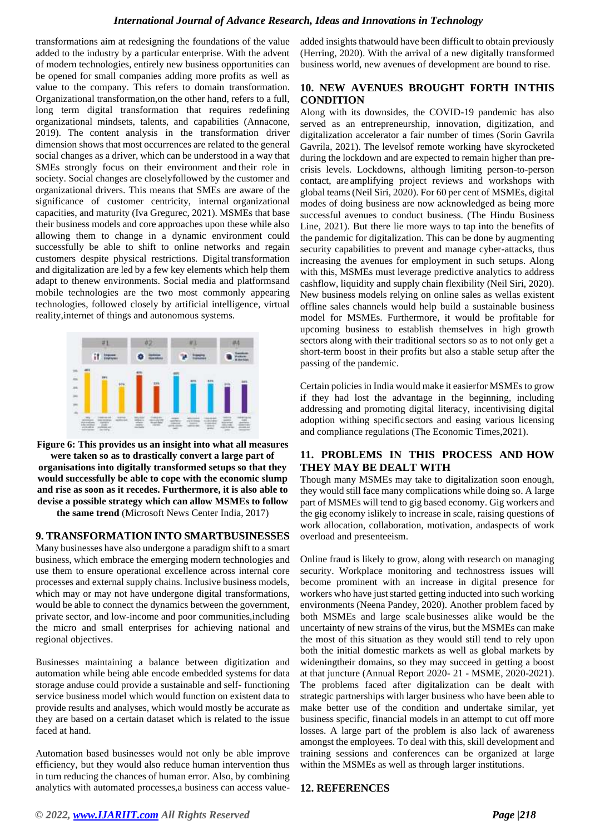transformations aim at redesigning the foundations of the value added to the industry by a particular enterprise. With the advent of modern technologies, entirely new business opportunities can be opened for small companies adding more profits as well as value to the company. This refers to domain transformation. Organizational transformation,on the other hand, refers to a full, long term digital transformation that requires redefining organizational mindsets, talents, and capabilities (Annacone, 2019). The content analysis in the transformation driver dimension shows that most occurrences are related to the general social changes as a driver, which can be understood in a way that SMEs strongly focus on their environment and their role in society. Social changes are closelyfollowed by the customer and organizational drivers. This means that SMEs are aware of the significance of customer centricity, internal organizational capacities, and maturity (Iva Gregurec, 2021). MSMEs that base their business models and core approaches upon these while also allowing them to change in a dynamic environment could successfully be able to shift to online networks and regain customers despite physical restrictions. Digital transformation and digitalization are led by a few key elements which help them adapt to thenew environments. Social media and platformsand mobile technologies are the two most commonly appearing technologies, followed closely by artificial intelligence, virtual reality,internet of things and autonomous systems.



**Figure 6: This provides us an insight into what all measures were taken so as to drastically convert a large part of organisations into digitally transformed setups so that they would successfully be able to cope with the economic slump and rise as soon as it recedes. Furthermore, it is also able to devise a possible strategy which can allow MSMEs to follow the same trend** (Microsoft News Center India, 2017)

## **9. TRANSFORMATION INTO SMARTBUSINESSES**

Many businesses have also undergone a paradigm shift to a smart business, which embrace the emerging modern technologies and use them to ensure operational excellence across internal core processes and external supply chains. Inclusive business models, which may or may not have undergone digital transformations, would be able to connect the dynamics between the government, private sector, and low-income and poor communities,including the micro and small enterprises for achieving national and regional objectives.

Businesses maintaining a balance between digitization and automation while being able encode embedded systems for data storage anduse could provide a sustainable and self- functioning service business model which would function on existent data to provide results and analyses, which would mostly be accurate as they are based on a certain dataset which is related to the issue faced at hand.

Automation based businesses would not only be able improve efficiency, but they would also reduce human intervention thus in turn reducing the chances of human error. Also, by combining analytics with automated processes,a business can access value-

added insights thatwould have been difficult to obtain previously (Herring, 2020). With the arrival of a new digitally transformed business world, new avenues of development are bound to rise.

#### **10. NEW AVENUES BROUGHT FORTH IN THIS CONDITION**

Along with its downsides, the COVID-19 pandemic has also served as an entrepreneurship, innovation, digitization, and digitalization accelerator a fair number of times (Sorin Gavrila Gavrila, 2021). The levelsof remote working have skyrocketed during the lockdown and are expected to remain higher than precrisis levels. Lockdowns, although limiting person-to-person contact, are amplifying project reviews and workshops with global teams (Neil Siri, 2020). For 60 per cent of MSMEs, digital modes of doing business are now acknowledged as being more successful avenues to conduct business. (The Hindu Business Line, 2021). But there lie more ways to tap into the benefits of the pandemic for digitalization. This can be done by augmenting security capabilities to prevent and manage cyber-attacks, thus increasing the avenues for employment in such setups. Along with this, MSMEs must leverage predictive analytics to address cashflow, liquidity and supply chain flexibility (Neil Siri, 2020). New business models relying on online sales as wellas existent offline sales channels would help build a sustainable business model for MSMEs. Furthermore, it would be profitable for upcoming business to establish themselves in high growth sectors along with their traditional sectors so as to not only get a short-term boost in their profits but also a stable setup after the passing of the pandemic.

Certain policies in India would make it easierfor MSMEs to grow if they had lost the advantage in the beginning, including addressing and promoting digital literacy, incentivising digital adoption withing specificsectors and easing various licensing and compliance regulations (The Economic Times,2021).

## **11. PROBLEMS IN THIS PROCESS AND HOW THEY MAY BE DEALT WITH**

Though many MSMEs may take to digitalization soon enough, they would still face many complications while doing so. A large part of MSMEs will tend to gig based economy. Gig workers and the gig economy islikely to increase in scale, raising questions of work allocation, collaboration, motivation, andaspects of work overload and presenteeism.

Online fraud is likely to grow, along with research on managing security. Workplace monitoring and technostress issues will become prominent with an increase in digital presence for workers who have just started getting inducted into such working environments (Neena Pandey, 2020). Another problem faced by both MSMEs and large scale businesses alike would be the uncertainty of new strains of the virus, but the MSMEs can make the most of this situation as they would still tend to rely upon both the initial domestic markets as well as global markets by wideningtheir domains, so they may succeed in getting a boost at that juncture (Annual Report 2020- 21 - MSME, 2020-2021). The problems faced after digitalization can be dealt with strategic partnerships with larger business who have been able to make better use of the condition and undertake similar, yet business specific, financial models in an attempt to cut off more losses. A large part of the problem is also lack of awareness amongst the employees. To deal with this, skill development and training sessions and conferences can be organized at large within the MSMEs as well as through larger institutions.

#### **12. REFERENCES**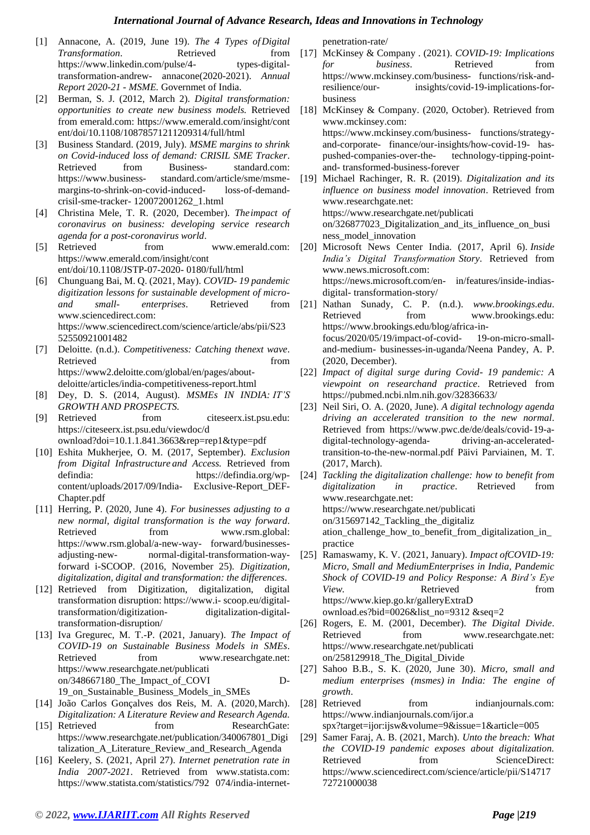- [1] Annacone, A. (2019, June 19). *The 4 Types ofDigital*  **Transformation.** Retrieved from https:/[/www.linkedin.com/pulse/4-](http://www.linkedin.com/pulse/4-) types-digitaltransformation-andrew- annacone(2020-2021). *Annual Report 2020-21 - MSME.* Governmet of India.
- [2] Berman, S. J. (2012, March 2). *Digital transformation: opportunities to create new business models.* Retrieved from emerald.com: https:/[/www.emerald.com/insight/cont](http://www.emerald.com/insight/cont) ent/doi/10.1108/10878571211209314/full/html
- [3] Business Standard. (2019, July). *MSME margins to shrink on Covid-induced loss of demand: CRISIL SME Tracker*. Retrieved from Business- standard.com: https://www.business- standard.com/article/sme/msmemargins-to-shrink-on-covid-induced- loss-of-demandcrisil-sme-tracker- 120072001262\_1.html
- [4] Christina Mele, T. R. (2020, December). *Theimpact of coronavirus on business: developing service research agenda for a post-coronavirus world*.
- [5] Retrieved from [www.emerald.com:](http://www.emerald.com/) https:/[/www.emerald.com/insight/cont](http://www.emerald.com/insight/cont) ent/doi/10.1108/JSTP-07-2020- 0180/full/html
- [6] Chunguang Bai, M. Q. (2021, May). *COVID- 19 pandemic digitization lessons for sustainable development of microand small- enterprises*. Retrieved from [www.sciencedirect.com:](http://www.sciencedirect.com/) https:/[/www.sciencedirect.com/science/](http://www.sciencedirect.com/science)article/abs/pii/S23 52550921001482
- [7] Deloitte. (n.d.). *Competitiveness: Catching thenext wave*. Retrieved from the state of  $\sim$ https://www2.deloitte.com/global/en/pages/aboutdeloitte/articles/india-competitiveness-report.html
- [8] Dey, D. S. (2014, August). *MSMEs IN INDIA: IT'S GROWTH AND PROSPECTS.*
- [9] Retrieved from citeseerx.ist.psu.edu: https://citeseerx.ist.psu.edu/viewdoc/d ownload?doi=10.1.1.841.3663&rep=rep1&type=pdf
- [10] Eshita Mukherjee, O. M. (2017, September). *Exclusion from Digital Infrastructure and Access.* Retrieved from defindia: https://defindia.org/wpcontent/uploads/2017/09/India- Exclusive-Report\_DEF-Chapter.pdf
- [11] Herring, P. (2020, June 4). *For businesses adjusting to a new normal, digital transformation is the way forward*. Retrieved from [www.rsm.global:](http://www.rsm.global/) https:/[/www.rsm.global/a-new-way-](http://www.rsm.global/a-new-way-) forward/businessesadjusting-new- normal-digital-transformation-wayforward i-SCOOP. (2016, November 25). *Digitization, digitalization, digital and transformation: the differences*.
- [12] Retrieved from Digitization, digitalization, digital transformation disruption: https://www.i- scoop.eu/digitaltransformation/digitization- digitalization-digitaltransformation-disruption/
- [13] Iva Gregurec, M. T.-P. (2021, January). *The Impact of COVID-19 on Sustainable Business Models in SMEs*. Retrieved from [www.researchgate.net:](http://www.researchgate.net/) https:/[/www.researchgate.net/publicati](http://www.researchgate.net/publicati) on/348667180\_The\_Impact\_of\_COVI D-19\_on\_Sustainable\_Business\_Models\_in\_SMEs
- [14] João Carlos Gonçalves dos Reis, M. A. (2020,March). *Digitalization: A Literature Review and Research Agenda.*
- [15] Retrieved from ResearchGate: https:/[/www.researchgate.net/publicatio](http://www.researchgate.net/publicati)n/340067801\_Digi talization A Literature Review and Research Agenda
- [16] Keelery, S. (2021, April 27). *Internet penetration rate in India 2007-2021*. Retrieved from [www.statista.com:](http://www.statista.com/) https:/[/www.statista.com/statistics/792](http://www.statista.com/statistics/792) 074/india-internet-

penetration-rate/

- [17] McKinsey & Company . (2021). *COVID-19: Implications for business*. Retrieved from https:/[/www.mckinsey.com/business-](http://www.mckinsey.com/business-) functions/risk-and-<br>resilience/our- insights/covid-19-implications-forinsights/covid-19-implications-forbusiness
- [18] McKinsey & Company. (2020, October). Retrieved from [www.mckinsey.com:](http://www.mckinsey.com/) https:/[/www.mckinsey.com/business-](http://www.mckinsey.com/business-) functions/strategyand-corporate- finance/our-insights/how-covid-19- haspushed-companies-over-the- technology-tipping-pointand- transformed-business-forever
- [19] Michael Rachinger, R. R. (2019). *Digitalization and its influence on business model innovation*. Retrieved from [www.researchgate.net:](http://www.researchgate.net/) https:/[/www.researchgate.net/publicati](http://www.researchgate.net/publicati) on/326877023\_Digitalization\_and\_its\_influence\_on\_busi ness\_model\_innovation
- [20] Microsoft News Center India. (2017, April 6). *Inside India's Digital Transformation Story*. Retrieved from [www.news.microsoft.com:](http://www.news.microsoft.com/) https://news.microsoft.com/en- in/features/inside-indiasdigital- transformation-story/
- [21] Nathan Sunady, C. P. (n.d.). *[www.brookings.edu](http://www.brookings.edu/)*. Retrieved from [www.brookings.edu:](http://www.brookings.edu/) https:/[/www.brookings.edu/blog/africa-](http://www.brookings.edu/blog/africa)infocus/2020/05/19/impact-of-covid- 19-on-micro-smalland-medium- businesses-in-uganda/Neena Pandey, A. P. (2020, December).
- [22] *Impact of digital surge during Covid- 19 pandemic: A viewpoint on researchand practice*. Retrieved from https://pubmed.ncbi.nlm.nih.gov/32836633/
- [23] Neil Siri, O. A. (2020, June). *A digital technology agenda driving an accelerated transition to the new normal*. Retrieved from https:/[/www.pwc.de/de/deals/covid-1](http://www.pwc.de/de/deals/covid-)9-adigital-technology-agenda- driving-an-acceleratedtransition-to-the-new-normal.pdf Päivi Parviainen, M. T. (2017, March).
- [24] *Tackling the digitalization challenge: how to benefit from digitalization in practice*. Retrieved from [www.researchgate.net:](http://www.researchgate.net/) https:/[/www.researchgate.net/publicati](http://www.researchgate.net/publicati) on/315697142\_Tackling\_the\_digitaliz ation\_challenge\_how\_to\_benefit\_from\_digitalization\_in\_ practice
- [25] Ramaswamy, K. V. (2021, January). *Impact ofCOVID-19: Micro, Small and MediumEnterprises in India, Pandemic Shock of COVID-19 and Policy Response: A Bird's Eye View.* Retrieved from https:/[/www.kiep.go.kr/galleryExtraD](http://www.kiep.go.kr/galleryExtraD) ownload.es?bid=0026&list\_no=9312 &seq=2
- [26] Rogers, E. M. (2001, December). *The Digital Divide*. Retrieved from [www.researchgate.net:](http://www.researchgate.net/) https:/[/www.researchgate.net/publicati](http://www.researchgate.net/publicati) on/258129918\_The\_Digital\_Divide
- [27] Sahoo B.B., S. K. (2020, June 30). *Micro, small and medium enterprises (msmes) in India: The engine of growth*.
- [28] Retrieved from indianjournals.com: https:/[/www.indianjournals.com/ijor.a](http://www.indianjournals.com/ijor.a) spx?target=ijor:ijsw&volume=9&issue=1&article=005
- [29] Samer Faraj, A. B. (2021, March). *Unto the breach: What the COVID-19 pandemic exposes about digitalization.* Retrieved from ScienceDirect: https:/[/www.sciencedirect.com/science/](http://www.sciencedirect.com/science)article/pii/S14717 72721000038